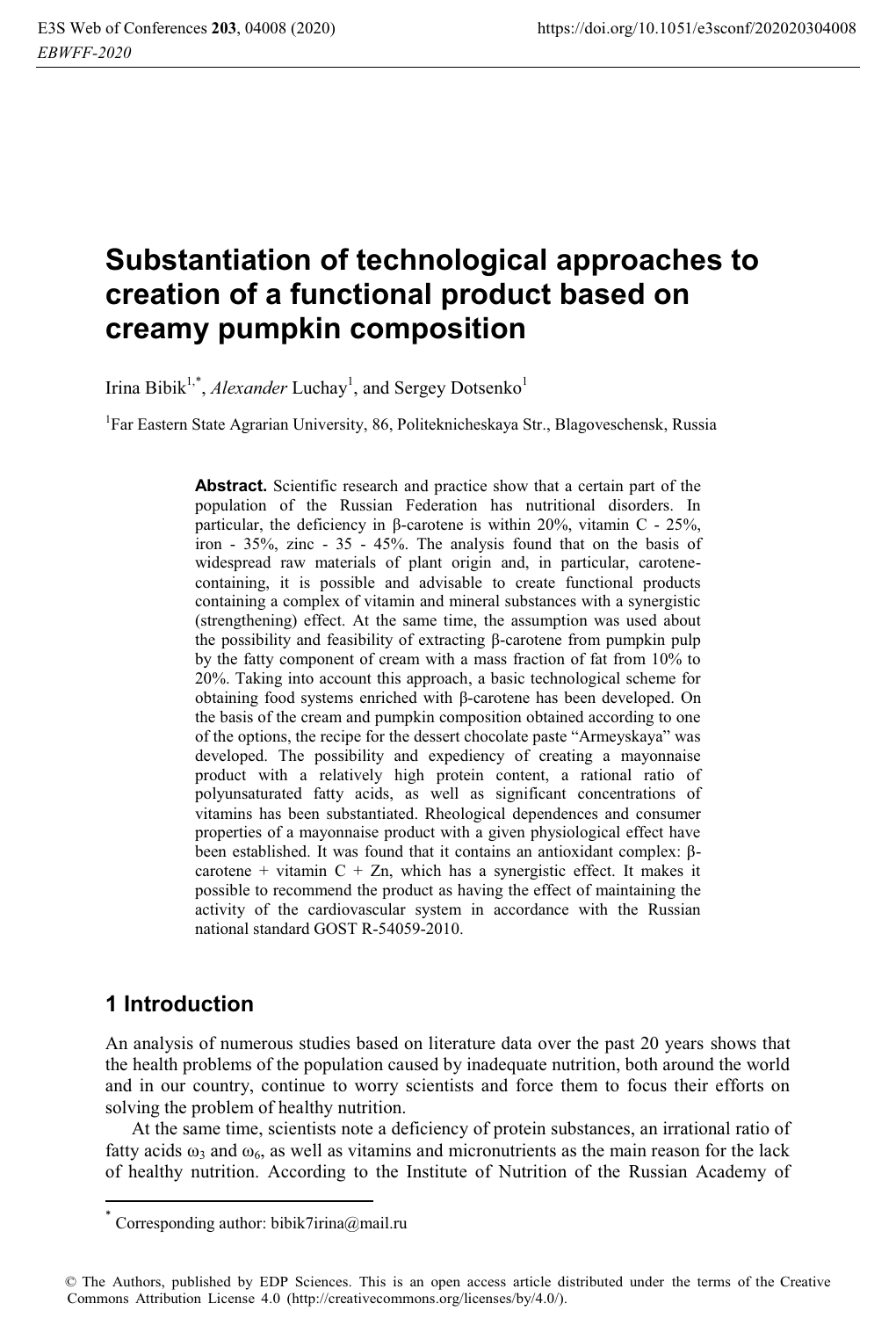# **Substantiation of technological approaches to creation of a functional product based on creamy pumpkin composition**

Irina Bibik<sup>1,\*</sup>, *Alexander* Luchay<sup>1</sup>, and Sergey Dotsenko<sup>1</sup>

<sup>1</sup>Far Eastern State Agrarian University, 86, Politeknicheskaya Str., Blagoveschensk, Russia

**Abstract.** Scientific research and practice show that a certain part of the population of the Russian Federation has nutritional disorders. In particular, the deficiency in β-carotene is within 20%, vitamin C - 25%, iron - 35%, zinc - 35 - 45%. The analysis found that on the basis of widespread raw materials of plant origin and, in particular, carotenecontaining, it is possible and advisable to create functional products containing a complex of vitamin and mineral substances with a synergistic (strengthening) effect. At the same time, the assumption was used about the possibility and feasibility of extracting β-carotene from pumpkin pulp by the fatty component of cream with a mass fraction of fat from 10% to 20%. Taking into account this approach, a basic technological scheme for obtaining food systems enriched with β-carotene has been developed. On the basis of the cream and pumpkin composition obtained according to one of the options, the recipe for the dessert chocolate paste "Armeyskaya" was developed. The possibility and expediency of creating a mayonnaise product with a relatively high protein content, a rational ratio of polyunsaturated fatty acids, as well as significant concentrations of vitamins has been substantiated. Rheological dependences and consumer properties of a mayonnaise product with a given physiological effect have been established. It was found that it contains an antioxidant complex: βcarotene + vitamin  $C + Zn$ , which has a synergistic effect. It makes it possible to recommend the product as having the effect of maintaining the activity of the cardiovascular system in accordance with the Russian national standard GOST R-54059-2010.

# **1 Introduction**

l

An analysis of numerous studies based on literature data over the past 20 years shows that the health problems of the population caused by inadequate nutrition, both around the world and in our country, continue to worry scientists and force them to focus their efforts on solving the problem of healthy nutrition.

At the same time, scientists note a deficiency of protein substances, an irrational ratio of fatty acids  $\omega_3$  and  $\omega_6$ , as well as vitamins and micronutrients as the main reason for the lack of healthy nutrition. According to the Institute of Nutrition of the Russian Academy of

Corresponding author: bibik7irina@mail.ru

<sup>©</sup> The Authors, published by EDP Sciences. This is an open access article distributed under the terms of the Creative Commons Attribution License 4.0 (http://creativecommons.org/licenses/by/4.0/).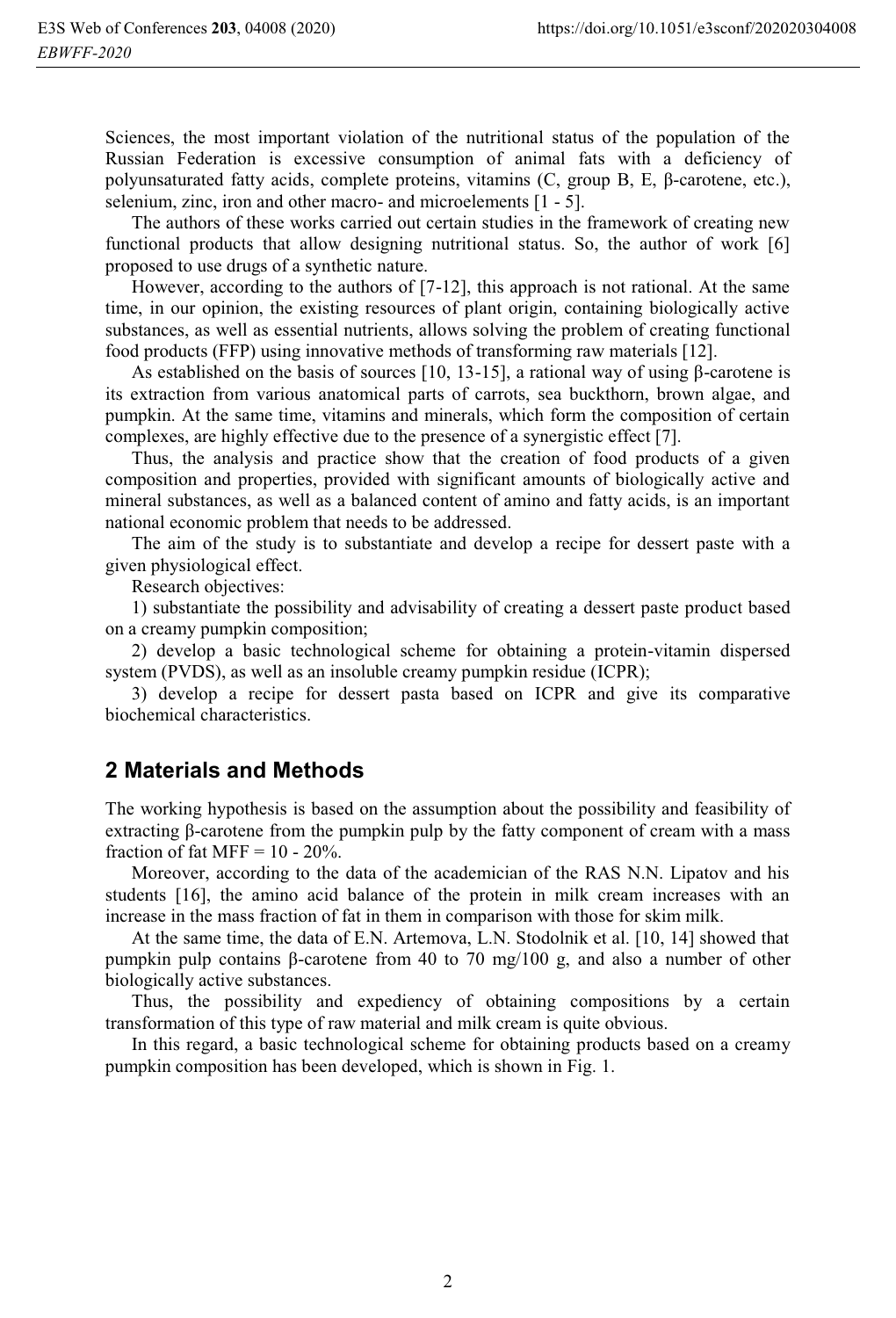Sciences, the most important violation of the nutritional status of the population of the Russian Federation is excessive consumption of animal fats with a deficiency of polyunsaturated fatty acids, complete proteins, vitamins (C, group B, E, β-carotene, etc.), selenium, zinc, iron and other macro- and microelements [1 - 5].

The authors of these works carried out certain studies in the framework of creating new functional products that allow designing nutritional status. So, the author of work [6] proposed to use drugs of a synthetic nature.

However, according to the authors of [7-12], this approach is not rational. At the same time, in our opinion, the existing resources of plant origin, containing biologically active substances, as well as essential nutrients, allows solving the problem of creating functional food products (FFP) using innovative methods of transforming raw materials [12].

As established on the basis of sources [10, 13-15], a rational way of using  $\beta$ -carotene is its extraction from various anatomical parts of carrots, sea buckthorn, brown algae, and pumpkin. At the same time, vitamins and minerals, which form the composition of certain complexes, are highly effective due to the presence of a synergistic effect [7].

Thus, the analysis and practice show that the creation of food products of a given composition and properties, provided with significant amounts of biologically active and mineral substances, as well as a balanced content of amino and fatty acids, is an important national economic problem that needs to be addressed.

The aim of the study is to substantiate and develop a recipe for dessert paste with a given physiological effect.

Research objectives:

1) substantiate the possibility and advisability of creating a dessert paste product based on a creamy pumpkin composition;

2) develop a basic technological scheme for obtaining a protein-vitamin dispersed system (PVDS), as well as an insoluble creamy pumpkin residue (ICPR);

3) develop a recipe for dessert pasta based on ICPR and give its comparative biochemical characteristics.

#### **2 Materials and Methods**

The working hypothesis is based on the assumption about the possibility and feasibility of extracting β-carotene from the pumpkin pulp by the fatty component of cream with a mass fraction of fat MFF =  $10 - 20\%$ .

Moreover, according to the data of the academician of the RAS N.N. Lipatov and his students [16], the amino acid balance of the protein in milk cream increases with an increase in the mass fraction of fat in them in comparison with those for skim milk.

At the same time, the data of E.N. Artemova, L.N. Stodolnik et al. [10, 14] showed that pumpkin pulp contains β-carotene from 40 to 70 mg/100 g, and also a number of other biologically active substances.

Thus, the possibility and expediency of obtaining compositions by a certain transformation of this type of raw material and milk cream is quite obvious.

In this regard, a basic technological scheme for obtaining products based on a creamy pumpkin composition has been developed, which is shown in Fig. 1.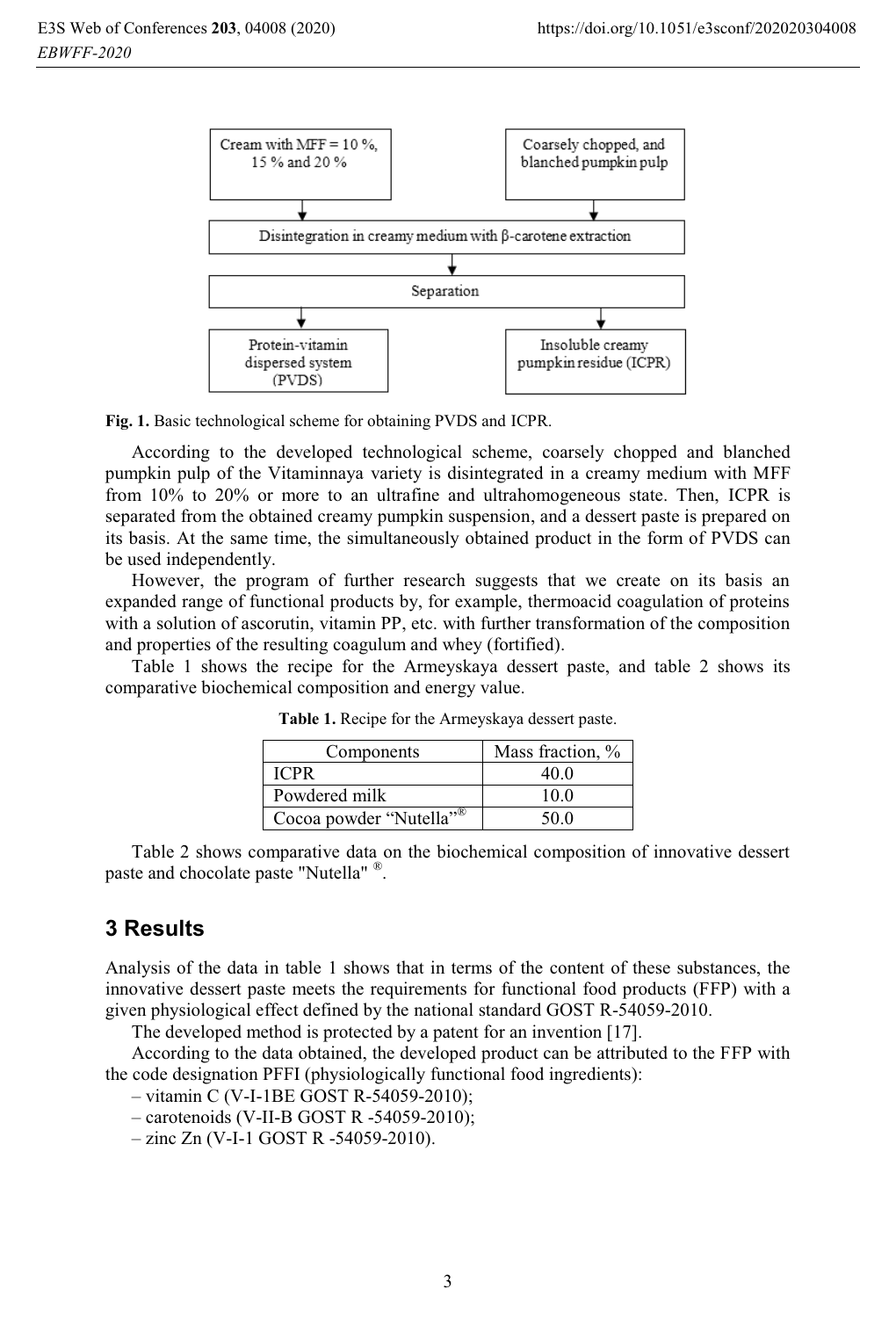

**Fig. 1.** Basic technological scheme for obtaining PVDS and ICPR.

According to the developed technological scheme, coarsely chopped and blanched pumpkin pulp of the Vitaminnaya variety is disintegrated in a creamy medium with MFF from 10% to 20% or more to an ultrafine and ultrahomogeneous state. Then, ICPR is separated from the obtained creamy pumpkin suspension, and a dessert paste is prepared on its basis. At the same time, the simultaneously obtained product in the form of PVDS can be used independently.

However, the program of further research suggests that we create on its basis an expanded range of functional products by, for example, thermoacid coagulation of proteins with a solution of ascorutin, vitamin PP, etc. with further transformation of the composition and properties of the resulting coagulum and whey (fortified).

Table 1 shows the recipe for the Armeyskaya dessert paste, and table 2 shows its comparative biochemical composition and energy value.

| Components                          | Mass fraction, % |
|-------------------------------------|------------------|
| ICPR                                | 40.0             |
| Powdered milk                       | 10.0             |
| Cocoa powder "Nutella" <sup>®</sup> | 50 O             |

**Table 1.** Recipe for the Armeyskaya dessert paste.

Table 2 shows comparative data on the biochemical composition of innovative dessert paste and chocolate paste "Nutella" ®.

## **3 Results**

Analysis of the data in table 1 shows that in terms of the content of these substances, the innovative dessert paste meets the requirements for functional food products (FFP) with a given physiological effect defined by the national standard GOST R-54059-2010.

The developed method is protected by a patent for an invention [17].

According to the data obtained, the developed product can be attributed to the FFP with the code designation PFFI (physiologically functional food ingredients):

– vitamin С (V-I-1BE GOST R-54059-2010);

– carotenoids (V-II-B GOST R -54059-2010);

– zinc Zn (V-I-1 GOST R -54059-2010).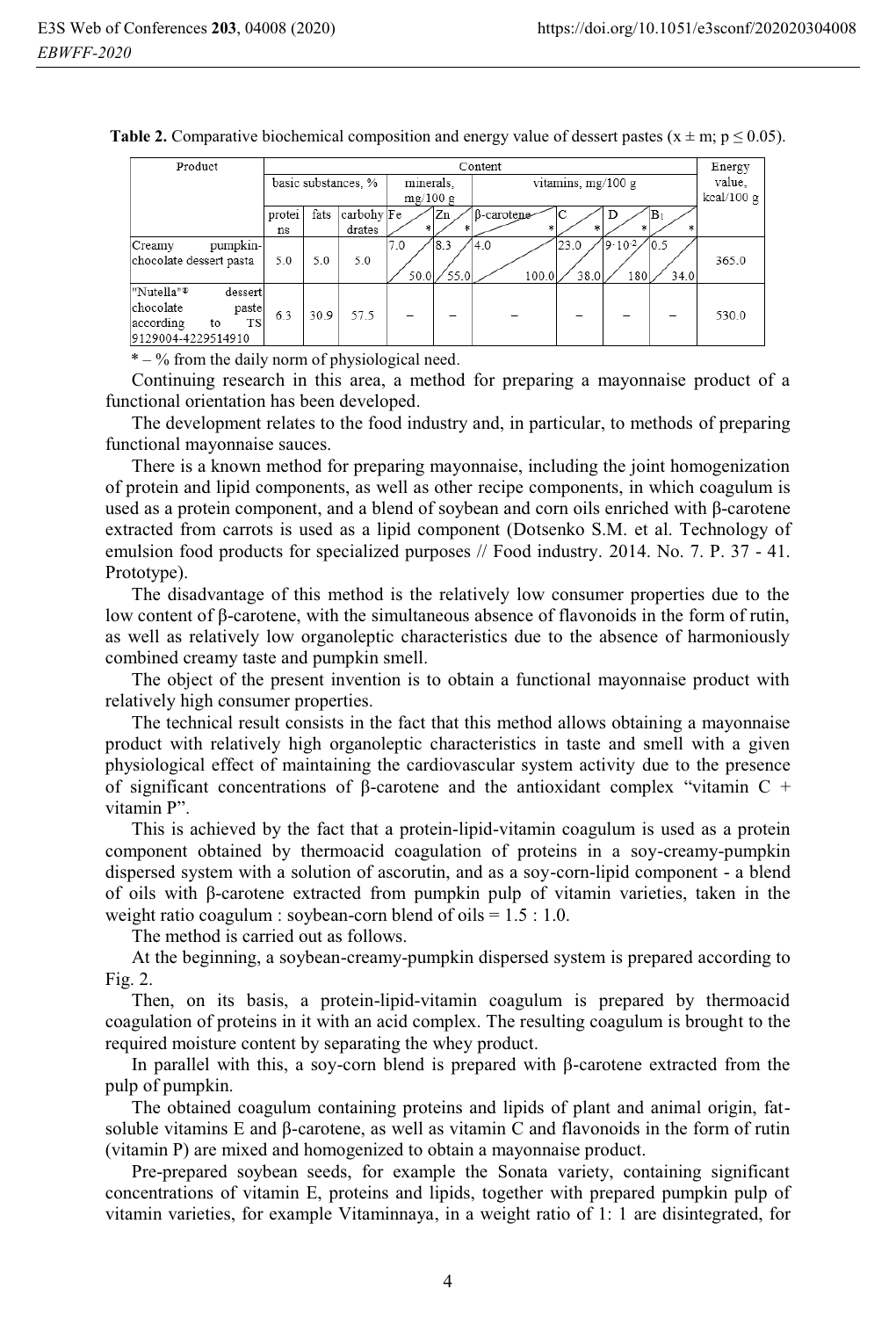| Product                           | Content             |      |            |                       |      |                      |            |             |      | Energy |
|-----------------------------------|---------------------|------|------------|-----------------------|------|----------------------|------------|-------------|------|--------|
|                                   | basic substances, % |      |            | minerals.<br>mg/100 g |      | vitamins, $mg/100 g$ | value,     |             |      |        |
|                                   |                     |      |            |                       |      |                      | kcal/100 g |             |      |        |
|                                   | protei              | fats | carbohy Fe |                       | Zn   | B-carotene-          |            | D           | ΙB۱  |        |
|                                   | ns                  |      | drates     | *                     |      |                      |            | ŵ           |      |        |
| pumpkin-<br>Creamy                |                     |      |            | 7.0                   | 8.3  | 4.0                  | 23.0       | $19.10 - 2$ | 10.5 |        |
| chocolate dessert pasta           | 5.0                 | 5.0  | 5.0        |                       |      |                      |            |             |      | 365.0  |
|                                   |                     |      |            | 50.0                  | 55.0 | 100.0                | 38.0       | 180         | 34.0 |        |
| "Nutella" <sup>®</sup><br>dessert |                     |      |            |                       |      |                      |            |             |      |        |
| chocolate<br>paste                | 6.3                 | 30.9 | 57.5       |                       |      |                      |            |             |      | 530.0  |
| <b>TS</b><br>according<br>to      |                     |      |            |                       |      |                      |            |             |      |        |
| 9129004-4229514910                |                     |      |            |                       |      |                      |            |             |      |        |

**Table 2.** Comparative biochemical composition and energy value of dessert pastes ( $x \pm m$ ;  $p \le 0.05$ ).

 $* - %$  from the daily norm of physiological need.

Continuing research in this area, a method for preparing a mayonnaise product of a functional orientation has been developed.

The development relates to the food industry and, in particular, to methods of preparing functional mayonnaise sauces.

There is a known method for preparing mayonnaise, including the joint homogenization of protein and lipid components, as well as other recipe components, in which coagulum is used as a protein component, and a blend of soybean and corn oils enriched with β-carotene extracted from carrots is used as a lipid component (Dotsenko S.M. et al. Technology of emulsion food products for specialized purposes // Food industry. 2014. No. 7. P. 37 - 41. Prototype).

The disadvantage of this method is the relatively low consumer properties due to the low content of β-carotene, with the simultaneous absence of flavonoids in the form of rutin, as well as relatively low organoleptic characteristics due to the absence of harmoniously combined creamy taste and pumpkin smell.

The object of the present invention is to obtain a functional mayonnaise product with relatively high consumer properties.

The technical result consists in the fact that this method allows obtaining a mayonnaise product with relatively high organoleptic characteristics in taste and smell with a given physiological effect of maintaining the cardiovascular system activity due to the presence of significant concentrations of β-carotene and the antioxidant complex "vitamin C + vitamin P".

This is achieved by the fact that a protein-lipid-vitamin coagulum is used as a protein component obtained by thermoacid coagulation of proteins in a soy-creamy-pumpkin dispersed system with a solution of ascorutin, and as a soy-corn-lipid component - a blend of oils with β-carotene extracted from pumpkin pulp of vitamin varieties, taken in the weight ratio coagulum : soybean-corn blend of oils  $= 1.5 : 1.0$ .

The method is carried out as follows.

At the beginning, a soybean-creamy-pumpkin dispersed system is prepared according to Fig. 2.

Then, on its basis, a protein-lipid-vitamin coagulum is prepared by thermoacid coagulation of proteins in it with an acid complex. The resulting coagulum is brought to the required moisture content by separating the whey product.

In parallel with this, a soy-corn blend is prepared with β-carotene extracted from the pulp of pumpkin.

The obtained coagulum containing proteins and lipids of plant and animal origin, fatsoluble vitamins E and β-carotene, as well as vitamin C and flavonoids in the form of rutin (vitamin P) are mixed and homogenized to obtain a mayonnaise product.

Pre-prepared soybean seeds, for example the Sonata variety, containing significant concentrations of vitamin E, proteins and lipids, together with prepared pumpkin pulp of vitamin varieties, for example Vitaminnaya, in a weight ratio of 1: 1 are disintegrated, for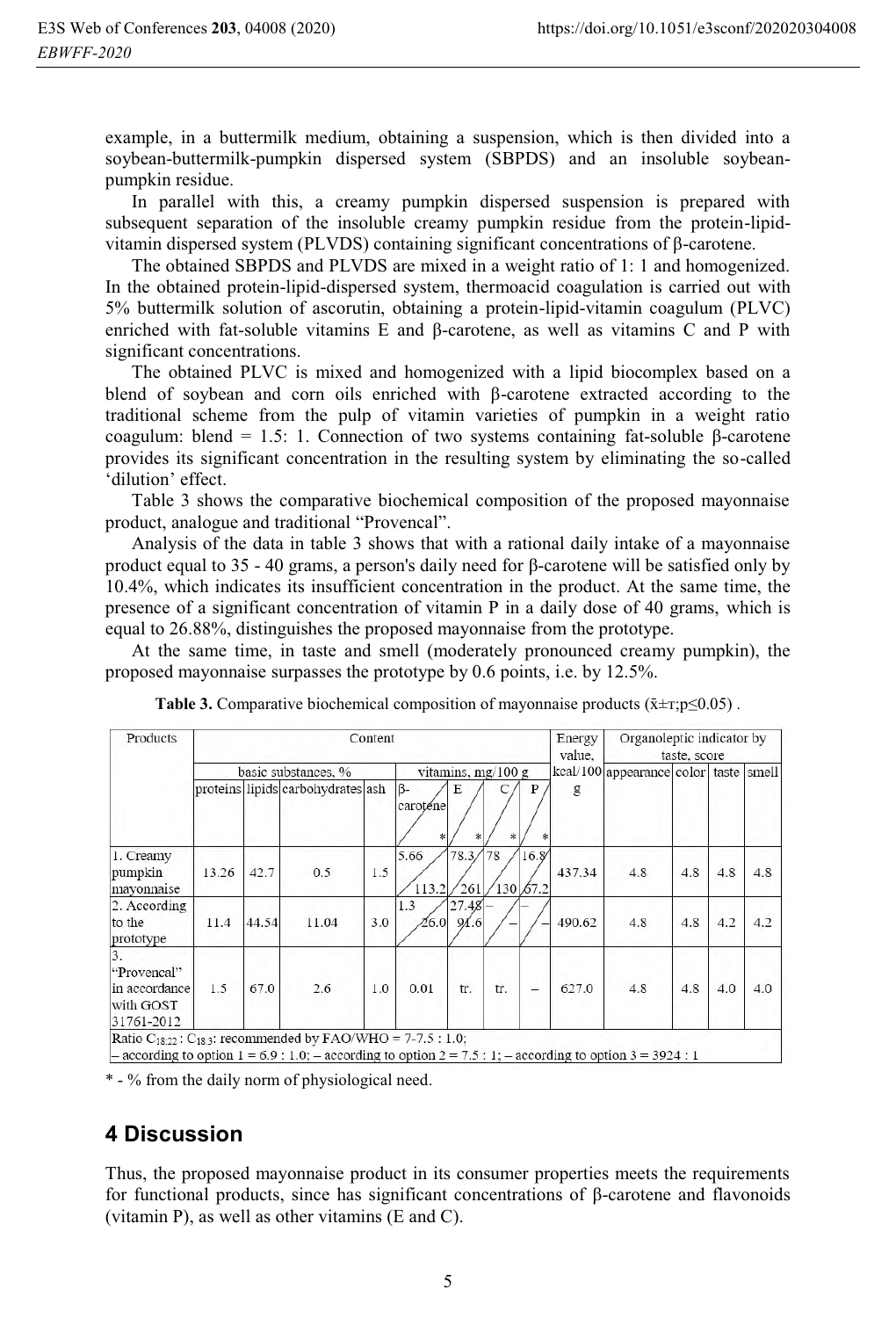example, in a buttermilk medium, obtaining a suspension, which is then divided into a soybean-buttermilk-pumpkin dispersed system (SBPDS) and an insoluble soybeanpumpkin residue.

In parallel with this, a creamy pumpkin dispersed suspension is prepared with subsequent separation of the insoluble creamy pumpkin residue from the protein-lipidvitamin dispersed system (PLVDS) containing significant concentrations of β-carotene.

The obtained SBPDS and PLVDS are mixed in a weight ratio of 1: 1 and homogenized. In the obtained protein-lipid-dispersed system, thermoacid coagulation is carried out with 5% buttermilk solution of ascorutin, obtaining a protein-lipid-vitamin coagulum (PLVC) enriched with fat-soluble vitamins E and β-carotene, as well as vitamins C and P with significant concentrations.

The obtained PLVC is mixed and homogenized with a lipid biocomplex based on a blend of soybean and corn oils enriched with β-carotene extracted according to the traditional scheme from the pulp of vitamin varieties of pumpkin in a weight ratio coagulum: blend = 1.5: 1. Connection of two systems containing fat-soluble β-carotene provides its significant concentration in the resulting system by eliminating the so-called 'dilution' effect.

Table 3 shows the comparative biochemical composition of the proposed mayonnaise product, analogue and traditional "Provencal".

Analysis of the data in table 3 shows that with a rational daily intake of a mayonnaise product equal to 35 - 40 grams, a person's daily need for β-carotene will be satisfied only by 10.4%, which indicates its insufficient concentration in the product. At the same time, the presence of a significant concentration of vitamin P in a daily dose of 40 grams, which is equal to 26.88%, distinguishes the proposed mayonnaise from the prototype.

At the same time, in taste and smell (moderately pronounced creamy pumpkin), the proposed mayonnaise surpasses the prototype by 0.6 points, i.e. by 12.5%.

| Products                                                      |                     |       | Content                           | Energy<br>value. | Organoleptic indicator by<br>taste, score |                   |                                           |                  |        |     |     |     |     |
|---------------------------------------------------------------|---------------------|-------|-----------------------------------|------------------|-------------------------------------------|-------------------|-------------------------------------------|------------------|--------|-----|-----|-----|-----|
|                                                               | basic substances, % |       | vitamins, $mg/100 g$              |                  |                                           |                   | kcal/100 appearance color   taste   smell |                  |        |     |     |     |     |
|                                                               |                     |       | proteins lipids carbohydrates ash |                  | B-<br>caroténe                            | E                 | 湯                                         | P                | g      |     |     |     |     |
| 1. Creamy<br>pumpkin<br>mayonnaise                            | 13.26               | 42.7  | 0.5                               | 1.5              | 5.66<br>113.2                             | 78.3/<br>261      | 78                                        | 16.8<br>130 67.2 | 437.34 | 4.8 | 4.8 | 4.8 | 4.8 |
| 2. According<br>to the<br>prototype                           | 11.4                | 44.54 | 11.04                             | 3.0              | 1.3<br>26.0                               | $27.48 -$<br>91.6 |                                           |                  | 490.62 | 4.8 | 4.8 | 4.2 | 4.2 |
| 3.<br>"Provencal"<br>in accordance<br>with GOST<br>31761-2012 | 1.5                 | 67.0  | 2.6                               | 1.0              | 0.01                                      | tr.               | tr.                                       |                  | 627.0  | 4.8 | 4.8 | 4.0 | 4.0 |

**Table 3.** Comparative biochemical composition of mayonnaise products ( $\bar{x} \pm \tau$ ; p $\leq 0.05$ ).

- according to option  $2 = 7.5 : 1$ ;  $0.9:1.0$ 

\* - % from the daily norm of physiological need.

# **4 Discussion**

Thus, the proposed mayonnaise product in its consumer properties meets the requirements for functional products, since has significant concentrations of β-carotene and flavonoids (vitamin P), as well as other vitamins (E and C).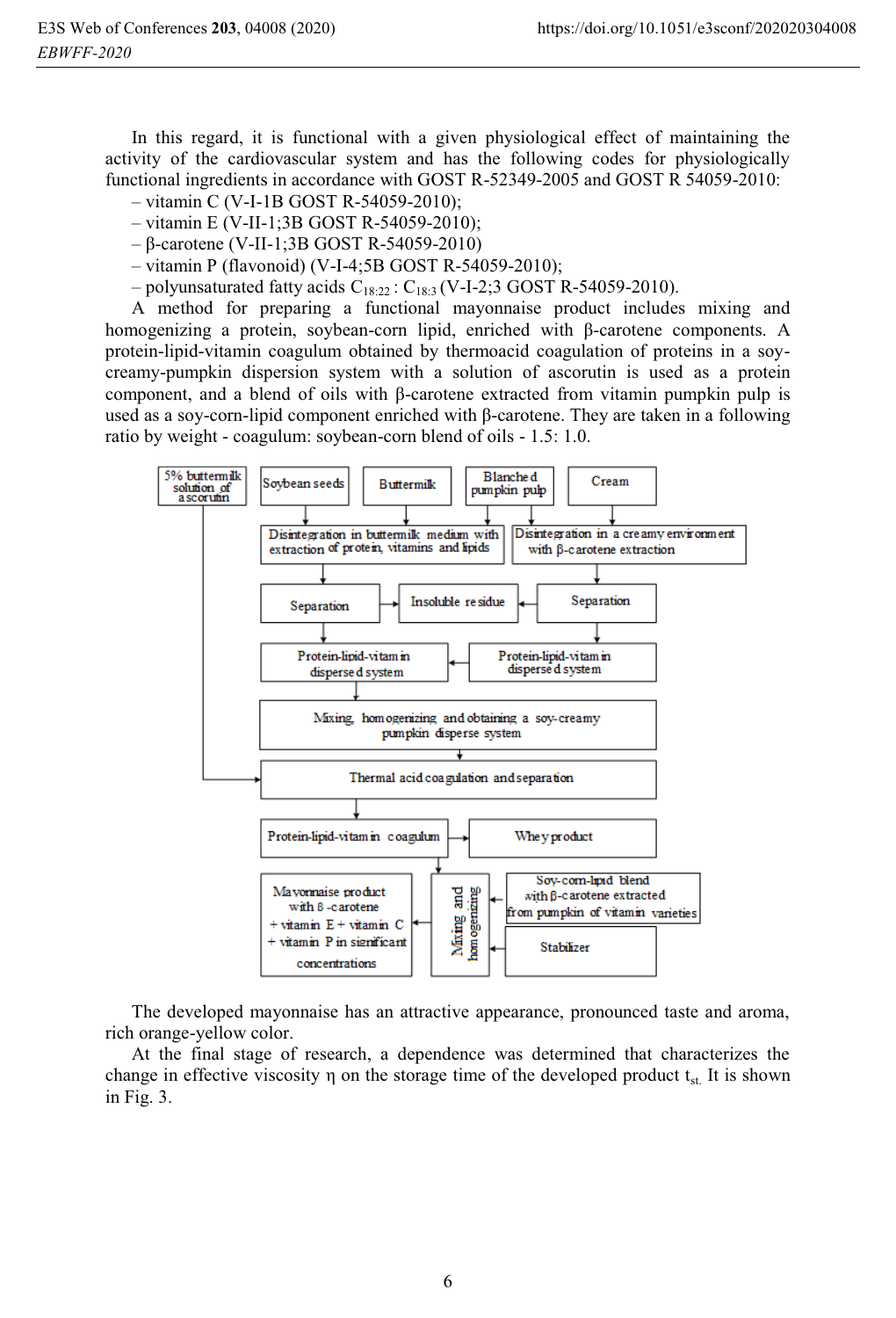In this regard, it is functional with a given physiological effect of maintaining the activity of the cardiovascular system and has the following codes for physiologically functional ingredients in accordance with GOST R-52349-2005 and GOST R 54059-2010:

- vitamin С (V-I-1B GOST R-54059-2010);
- vitamin Е (V-II-1;3B GOST R-54059-2010);
- β-carotene (V-II-1;3B GOST R-54059-2010)
- vitamin Р (flavonoid) (V-I-4;5B GOST R-54059-2010);
- polyunsaturated fatty acids  $C_{18:22}$ :  $C_{18:3}$  (V-I-2;3 GOST R-54059-2010).

A method for preparing a functional mayonnaise product includes mixing and homogenizing a protein, soybean-corn lipid, enriched with β-carotene components. A protein-lipid-vitamin coagulum obtained by thermoacid coagulation of proteins in a soycreamy-pumpkin dispersion system with a solution of ascorutin is used as a protein component, and a blend of oils with β-carotene extracted from vitamin pumpkin pulp is used as a soy-corn-lipid component enriched with β-carotene. They are taken in a following ratio by weight - coagulum: soybean-corn blend of oils - 1.5: 1.0.



The developed mayonnaise has an attractive appearance, pronounced taste and aroma, rich orange-yellow color.

At the final stage of research, a dependence was determined that characterizes the change in effective viscosity  $\eta$  on the storage time of the developed product  $t_{st}$ . It is shown in Fig. 3.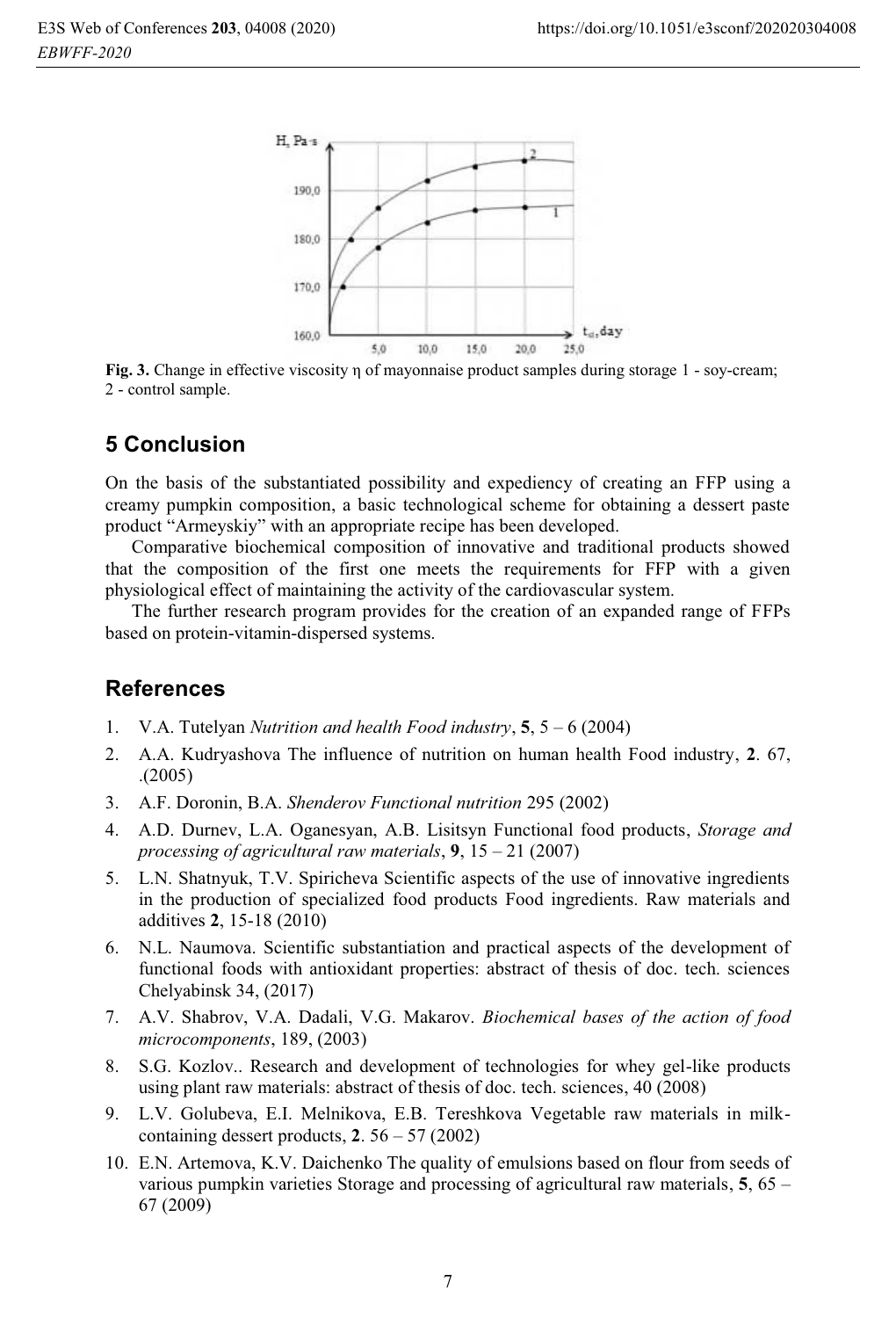

**Fig. 3.** Change in effective viscosity <sup>η</sup> of mayonnaise product samples during storage 1 - soy-cream; 2 - control sample.

## **5 Conclusion**

On the basis of the substantiated possibility and expediency of creating an FFP using a creamy pumpkin composition, a basic technological scheme for obtaining a dessert paste product "Armeyskiy" with an appropriate recipe has been developed.

Comparative biochemical composition of innovative and traditional products showed that the composition of the first one meets the requirements for FFP with a given physiological effect of maintaining the activity of the cardiovascular system.

The further research program provides for the creation of an expanded range of FFPs based on protein-vitamin-dispersed systems.

#### **References**

- 1. V.A. Tutelyan *Nutrition and health Food industry*, **5**, 5 6 (2004)
- 2. A.A. Kudryashova The influence of nutrition on human health Food industry, **2**. 67, .(2005)
- 3. A.F. Doronin, B.A. *Shenderov Functional nutrition* 295 (2002)
- 4. A.D. Durnev, L.A. Oganesyan, A.B. Lisitsyn Functional food products, *Storage and processing of agricultural raw materials*, **9**, 15 – 21 (2007)
- 5. L.N. Shatnyuk, T.V. Spiricheva Scientific aspects of the use of innovative ingredients in the production of specialized food products Food ingredients. Raw materials and additives **2**, 15-18 (2010)
- 6. N.L. Naumova. Scientific substantiation and practical aspects of the development of functional foods with antioxidant properties: abstract of thesis of doc. tech. sciences Chelyabinsk 34, (2017)
- 7. A.V. Shabrov, V.A. Dadali, V.G. Makarov. *Biochemical bases of the action of food microcomponents*, 189, (2003)
- 8. S.G. Kozlov.. Research and development of technologies for whey gel-like products using plant raw materials: abstract of thesis of doc. tech. sciences, 40 (2008)
- 9. L.V. Golubeva, E.I. Melnikova, E.B. Tereshkova Vegetable raw materials in milkcontaining dessert products, **2**. 56 – 57 (2002)
- 10. E.N. Artemova, K.V. Daichenko The quality of emulsions based on flour from seeds of various pumpkin varieties Storage and processing of agricultural raw materials, **5**, 65 – 67 (2009)